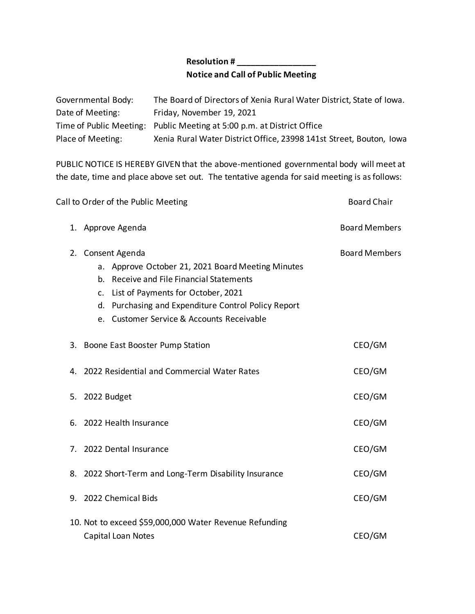## **Resolution # \_\_\_\_\_\_\_\_\_\_\_\_\_\_\_\_\_ Notice and Call of Public Meeting**

| Governmental Body: | The Board of Directors of Xenia Rural Water District, State of Iowa.   |
|--------------------|------------------------------------------------------------------------|
| Date of Meeting:   | Friday, November 19, 2021                                              |
|                    | Time of Public Meeting: Public Meeting at 5:00 p.m. at District Office |
| Place of Meeting:  | Xenia Rural Water District Office, 23998 141st Street, Bouton, Iowa    |

PUBLIC NOTICE IS HEREBY GIVEN that the above-mentioned governmental body will meet at the date, time and place above set out. The tentative agenda for said meeting is as follows:

| 1. Approve Agenda<br>Consent Agenda<br>2.<br>a. Approve October 21, 2021 Board Meeting Minutes                                                                                        | <b>Board Members</b><br><b>Board Members</b> |
|---------------------------------------------------------------------------------------------------------------------------------------------------------------------------------------|----------------------------------------------|
|                                                                                                                                                                                       |                                              |
| b. Receive and File Financial Statements<br>c. List of Payments for October, 2021<br>d. Purchasing and Expenditure Control Policy Report<br>e. Customer Service & Accounts Receivable |                                              |
| 3. Boone East Booster Pump Station                                                                                                                                                    | CEO/GM                                       |
| 4. 2022 Residential and Commercial Water Rates                                                                                                                                        | CEO/GM                                       |
| 5. 2022 Budget                                                                                                                                                                        | CEO/GM                                       |
| 6. 2022 Health Insurance                                                                                                                                                              | CEO/GM                                       |
| 7. 2022 Dental Insurance                                                                                                                                                              | CEO/GM                                       |
| 8. 2022 Short-Term and Long-Term Disability Insurance                                                                                                                                 | CEO/GM                                       |
| 9. 2022 Chemical Bids                                                                                                                                                                 | CEO/GM                                       |
| 10. Not to exceed \$59,000,000 Water Revenue Refunding<br>Capital Loan Notes                                                                                                          | CEO/GM                                       |